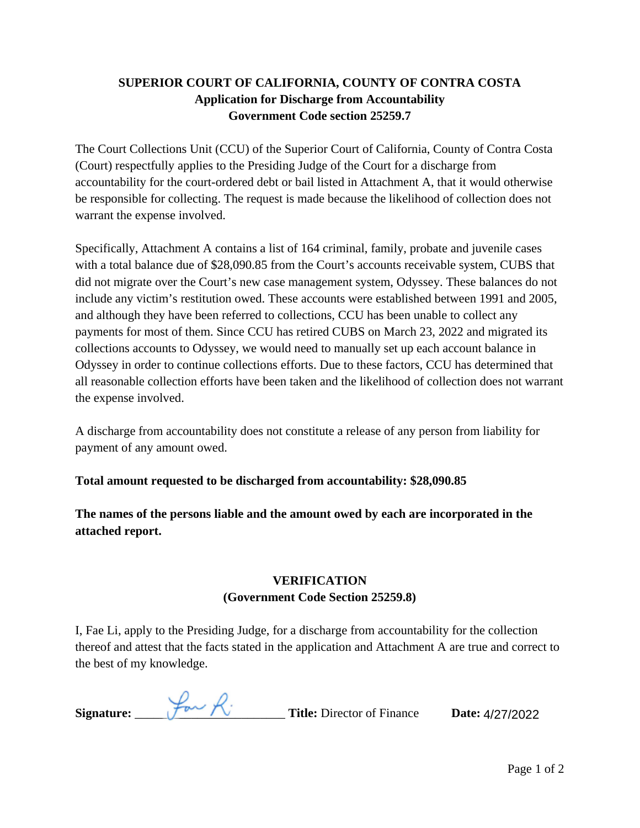## **SUPERIOR COURT OF CALIFORNIA, COUNTY OF CONTRA COSTA Application for Discharge from Accountability Government Code section 25259.7**

The Court Collections Unit (CCU) of the Superior Court of California, County of Contra Costa (Court) respectfully applies to the Presiding Judge of the Court for a discharge from accountability for the court-ordered debt or bail listed in Attachment A, that it would otherwise be responsible for collecting. The request is made because the likelihood of collection does not warrant the expense involved.

Specifically, Attachment A contains a list of 164 criminal, family, probate and juvenile cases with a total balance due of \$28,090.85 from the Court's accounts receivable system, CUBS that did not migrate over the Court's new case management system, Odyssey. These balances do not include any victim's restitution owed. These accounts were established between 1991 and 2005, and although they have been referred to collections, CCU has been unable to collect any payments for most of them. Since CCU has retired CUBS on March 23, 2022 and migrated its collections accounts to Odyssey, we would need to manually set up each account balance in Odyssey in order to continue collections efforts. Due to these factors, CCU has determined that all reasonable collection efforts have been taken and the likelihood of collection does not warrant the expense involved.

A discharge from accountability does not constitute a release of any person from liability for payment of any amount owed.

**Total amount requested to be discharged from accountability: \$28,090.85** 

**The names of the persons liable and the amount owed by each are incorporated in the attached report.** 

## **VERIFICATION (Government Code Section 25259.8)**

I, Fae Li, apply to the Presiding Judge, for a discharge from accountability for the collection thereof and attest that the facts stated in the application and Attachment A are true and correct to the best of my knowledge.

| $+,-$<br>Signature: | <b>Title:</b> Director of Finance | Date: 4/27/2022 |
|---------------------|-----------------------------------|-----------------|
|                     |                                   |                 |